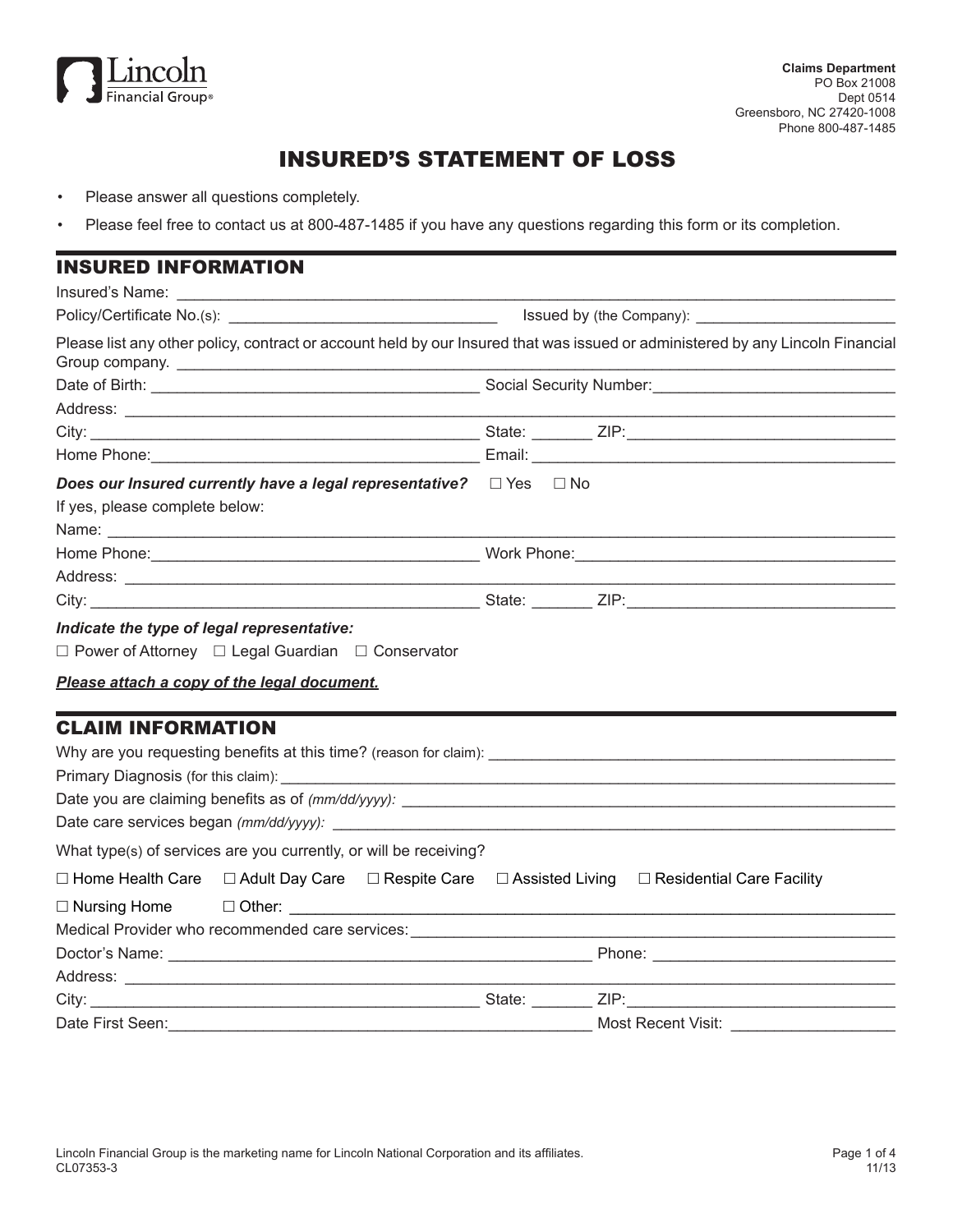

# INSURED'S STATEMENT OF LOSS

- Please answer all questions completely.
- Please feel free to contact us at 800-487-1485 if you have any questions regarding this form or its completion.

| <b>INSURED INFORMATION</b>                                                                                                     |                    |  |  |  |
|--------------------------------------------------------------------------------------------------------------------------------|--------------------|--|--|--|
|                                                                                                                                |                    |  |  |  |
|                                                                                                                                |                    |  |  |  |
| Please list any other policy, contract or account held by our Insured that was issued or administered by any Lincoln Financial |                    |  |  |  |
|                                                                                                                                |                    |  |  |  |
|                                                                                                                                |                    |  |  |  |
|                                                                                                                                |                    |  |  |  |
|                                                                                                                                |                    |  |  |  |
| Does our Insured currently have a legal representative? $\Box$ Yes $\Box$ No<br>If yes, please complete below:                 |                    |  |  |  |
|                                                                                                                                |                    |  |  |  |
|                                                                                                                                |                    |  |  |  |
|                                                                                                                                |                    |  |  |  |
| $\Box$ Power of Attorney $\Box$ Legal Guardian $\Box$ Conservator<br>Please attach a copy of the legal document.               |                    |  |  |  |
| <b>CLAIM INFORMATION</b>                                                                                                       |                    |  |  |  |
|                                                                                                                                |                    |  |  |  |
|                                                                                                                                |                    |  |  |  |
|                                                                                                                                |                    |  |  |  |
|                                                                                                                                |                    |  |  |  |
| What type(s) of services are you currently, or will be receiving?                                                              |                    |  |  |  |
| $\Box$ Home Health Care $\Box$ Adult Day Care $\Box$ Respite Care $\Box$ Assisted Living $\Box$ Residential Care Facility      |                    |  |  |  |
|                                                                                                                                |                    |  |  |  |
|                                                                                                                                |                    |  |  |  |
|                                                                                                                                |                    |  |  |  |
|                                                                                                                                |                    |  |  |  |
|                                                                                                                                |                    |  |  |  |
| Date First Seen:                                                                                                               | Most Recent Visit: |  |  |  |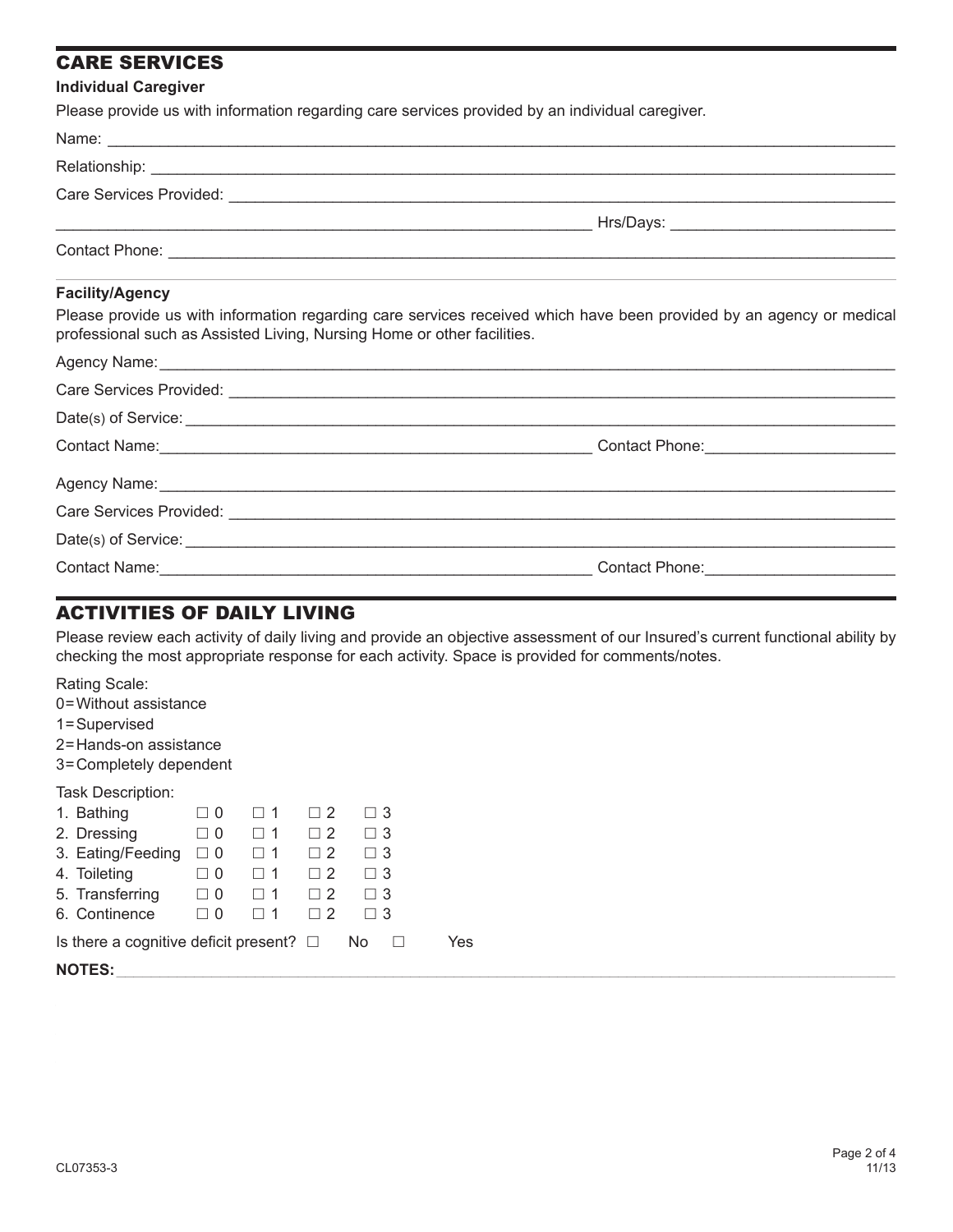## CARE SERVICES

#### **Individual Caregiver**

Please provide us with information regarding care services provided by an individual caregiver.

| provide as murrimoniquent regarding care corridos provided by an individual caregivent                                                                                                          |  |
|-------------------------------------------------------------------------------------------------------------------------------------------------------------------------------------------------|--|
|                                                                                                                                                                                                 |  |
|                                                                                                                                                                                                 |  |
|                                                                                                                                                                                                 |  |
|                                                                                                                                                                                                 |  |
|                                                                                                                                                                                                 |  |
| <b>Facility/Agency</b>                                                                                                                                                                          |  |
| Please provide us with information regarding care services received which have been provided by an agency or medical<br>professional such as Assisted Living, Nursing Home or other facilities. |  |
|                                                                                                                                                                                                 |  |
|                                                                                                                                                                                                 |  |
|                                                                                                                                                                                                 |  |
|                                                                                                                                                                                                 |  |
|                                                                                                                                                                                                 |  |
|                                                                                                                                                                                                 |  |
|                                                                                                                                                                                                 |  |
|                                                                                                                                                                                                 |  |

## ACTIVITIES OF DAILY LIVING

Please review each activity of daily living and provide an objective assessment of our Insured's current functional ability by checking the most appropriate response for each activity. Space is provided for comments/notes.

Rating Scale:

- 0=Without assistance
- 1=Supervised
- 2=Hands-on assistance
- 3=Completely dependent

Task Description:

|                                                               | 1. Bathing                 | $\Box$ 0 |             | $\Box$ 2 | $\Box$ 3 |  |  |  |  |
|---------------------------------------------------------------|----------------------------|----------|-------------|----------|----------|--|--|--|--|
|                                                               | 2. Dressing                | $\Box$ 0 | □ 1         | $\Box$ 2 | $\Box$ 3 |  |  |  |  |
|                                                               | 3. Eating/Feeding $\Box$ 0 |          | $\Box$ 1    | $\Box$ 2 | $\Box$ 3 |  |  |  |  |
|                                                               | 4. Toileting               | $\Box$ 0 | $\square$ 1 | $\Box$ 2 | $\Box$ 3 |  |  |  |  |
|                                                               | 5. Transferring $\Box$ 0   |          | $\Box$ 1    | $\Box$ 2 | $\Box$ 3 |  |  |  |  |
|                                                               | 6. Continence              | $\Box$ 0 | $\square$ 1 | $\Box$ 2 | $\Box$ 3 |  |  |  |  |
| Is there a cognitive deficit present? $\Box$ No $\Box$<br>Yes |                            |          |             |          |          |  |  |  |  |
|                                                               | <b>NOTES:</b>              |          |             |          |          |  |  |  |  |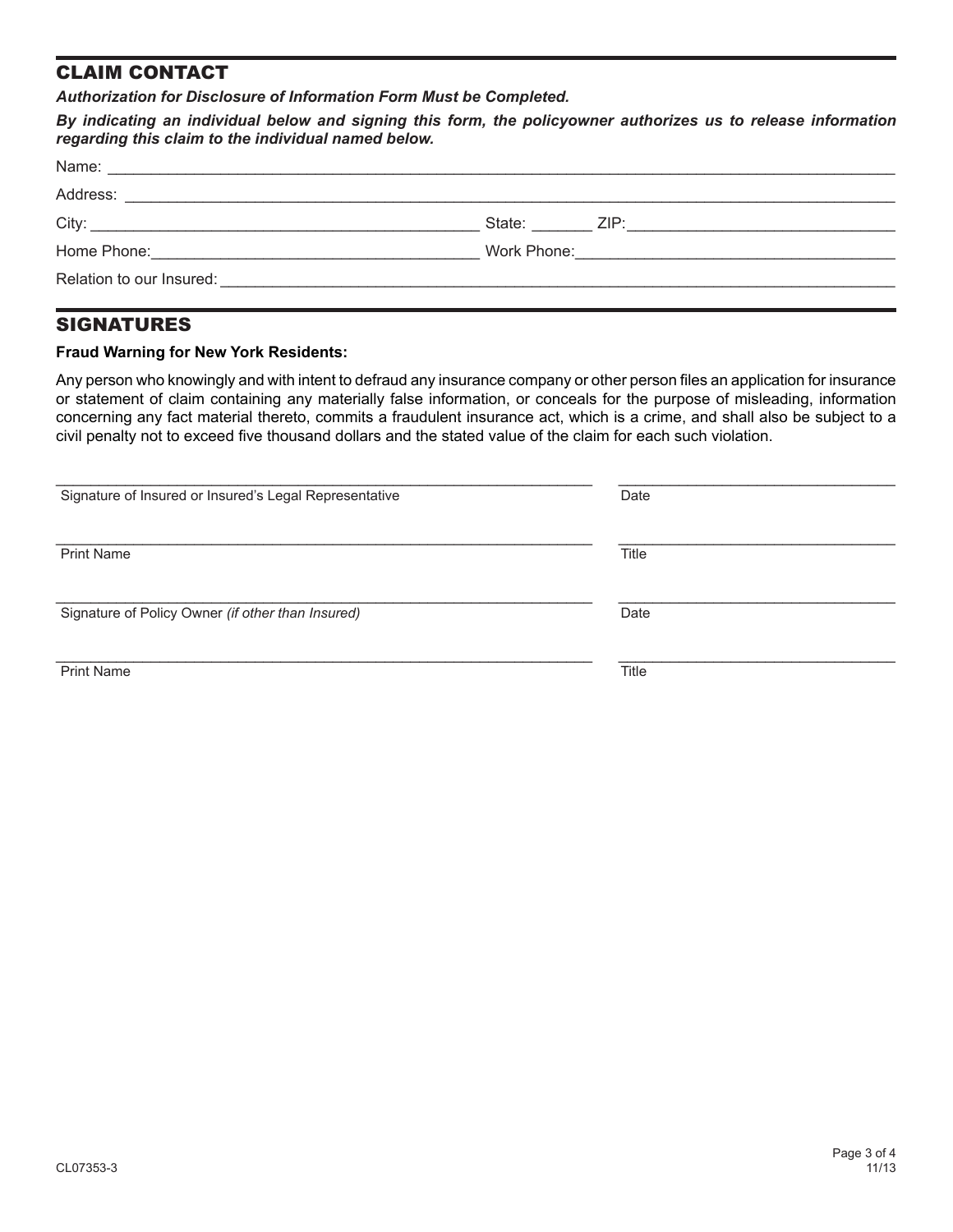### CLAIM CONTACT

*Authorization for Disclosure of Information Form Must be Completed.*

*By indicating an individual below and signing this form, the policyowner authorizes us to release information regarding this claim to the individual named below.* 

|                                                                                                                                            | Work Phone: <u>___________________________________</u> |  |  |  |
|--------------------------------------------------------------------------------------------------------------------------------------------|--------------------------------------------------------|--|--|--|
| Relation to our Insured:<br><u> 1980 - Johann John Stein, marwolaeth a bhliain 1980 - Bhaile Bharras ann an t-Alban Stein ann an 1980.</u> |                                                        |  |  |  |

#### **SIGNATURES**

#### **Fraud Warning for New York Residents:**

Any person who knowingly and with intent to defraud any insurance company or other person files an application for insurance or statement of claim containing any materially false information, or conceals for the purpose of misleading, information concerning any fact material thereto, commits a fraudulent insurance act, which is a crime, and shall also be subject to a civil penalty not to exceed five thousand dollars and the stated value of the claim for each such violation.

| Signature of Insured or Insured's Legal Representative | Date  |
|--------------------------------------------------------|-------|
|                                                        |       |
|                                                        |       |
|                                                        |       |
| <b>Print Name</b>                                      | Title |
|                                                        |       |
|                                                        |       |
| Signature of Policy Owner (if other than Insured)      | Date  |
|                                                        |       |
|                                                        |       |
|                                                        |       |
| <b>Print Name</b>                                      | Title |